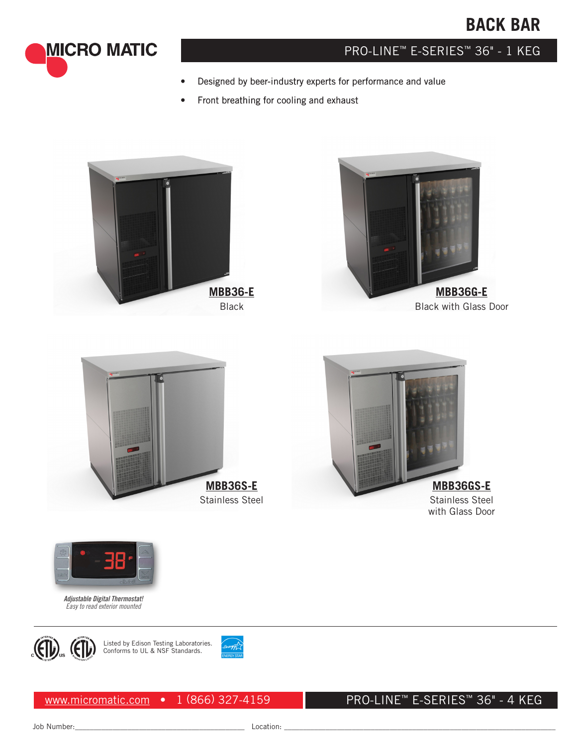# **BACK BAR**



# PRO-LINE™ E-SERIES™ 36" - 1 KEG

- Designed by beer-industry experts for performance and value
- Front breathing for cooling and exhaust





Black with Glass Door



**MBB36GS-E** Stainless Steel with Glass Door



*Adjustable Digital Thermostat! Easy to read exterior mounted*



Listed by Edison Testing Laboratories. Conforms to UL & NSF Standards.



### PRO-LINE™ E-SERIES™ 36" - 4 KEG